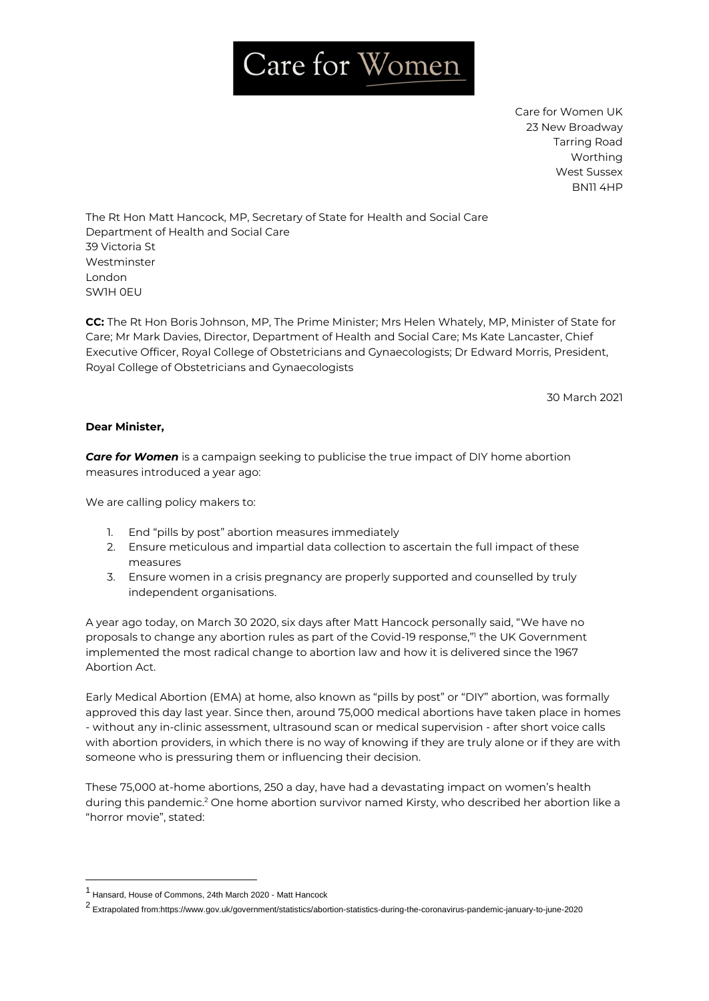## Care for Women

Care for Women UK 23 New Broadway Tarring Road Worthing West Sussex BN11 4HP

The Rt Hon Matt Hancock, MP, Secretary of State for Health and Social Care Department of Health and Social Care 39 Victoria St Westminster London SW1H 0EU

**CC:** The Rt Hon Boris Johnson, MP, The Prime Minister; Mrs Helen Whately, MP, Minister of State for Care; Mr Mark Davies, Director, Department of Health and Social Care; Ms Kate Lancaster, Chief Executive Officer, Royal College of Obstetricians and Gynaecologists; Dr Edward Morris, President, Royal College of Obstetricians and Gynaecologists

30 March 2021

## **Dear Minister,**

**Care for Women** is a campaign seeking to publicise the true impact of DIY home abortion measures introduced a year ago:

We are calling policy makers to:

- 1. End "pills by post" abortion measures immediately
- 2. Ensure meticulous and impartial data collection to ascertain the full impact of these measures
- 3. Ensure women in a crisis pregnancy are properly supported and counselled by truly independent organisations.

A year ago today, on March 30 2020, six days after Matt Hancock personally said, "We have no proposals to change any abortion rules as part of the Covid-19 response," the UK Government implemented the most radical change to abortion law and how it is delivered since the 1967 Abortion Act.

Early Medical Abortion (EMA) at home, also known as "pills by post" or "DIY" abortion, was formally approved this day last year. Since then, around 75,000 medical abortions have taken place in homes - without any in-clinic assessment, ultrasound scan or medical supervision - after short voice calls with abortion providers, in which there is no way of knowing if they are truly alone or if they are with someone who is pressuring them or influencing their decision.

These 75,000 at-home abortions, 250 a day, have had a devastating impact on women's health during this pandemic.<sup>2</sup> One home abortion survivor named Kirsty, who described her abortion like a "horror movie", stated:

<sup>1</sup> Hansard, House of Commons, 24th March 2020 - Matt Hancock

<sup>2</sup> Extrapolated from:https://www.gov.uk/government/statistics/abortion-statistics-during-the-coronavirus-pandemic-january-to-june-2020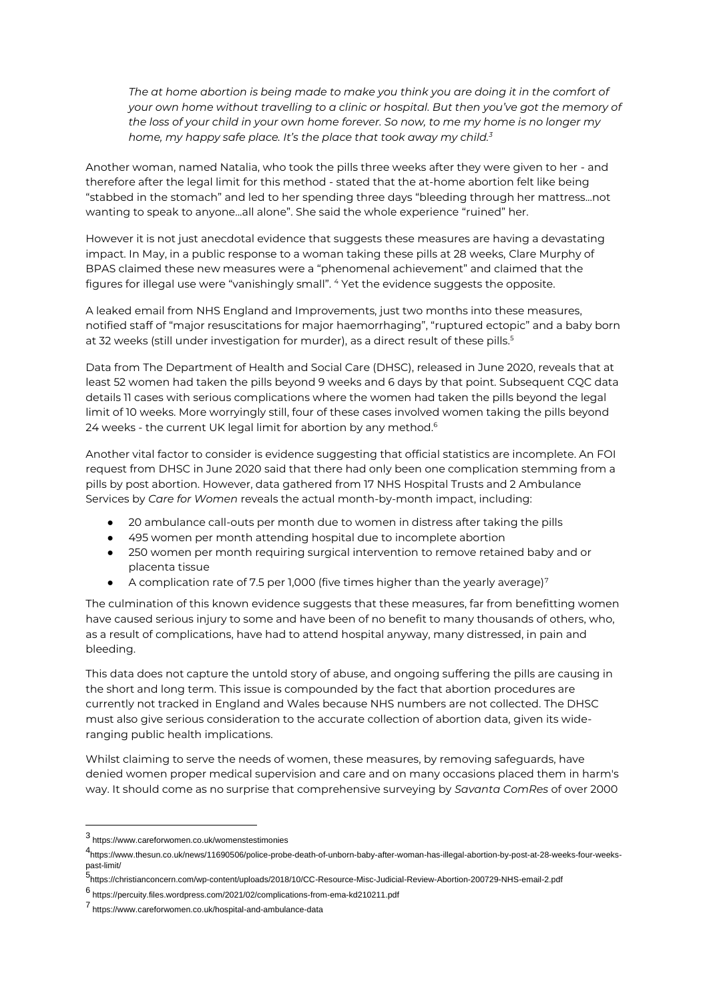*The at home abortion is being made to make you think you are doing it in the comfort of your own home without travelling to a clinic or hospital. But then you've got the memory of the loss of your child in your own home forever. So now, to me my home is no longer my home, my happy safe place. It's the place that took away my child.<sup>3</sup>*

Another woman, named Natalia, who took the pills three weeks after they were given to her - and therefore after the legal limit for this method - stated that the at-home abortion felt like being "stabbed in the stomach" and led to her spending three days "bleeding through her mattress...not wanting to speak to anyone...all alone". She said the whole experience "ruined" her.

However it is not just anecdotal evidence that suggests these measures are having a devastating impact. In May, in a public response to a woman taking these pills at 28 weeks, Clare Murphy of BPAS claimed these new measures were a "phenomenal achievement" and claimed that the figures for illegal use were "vanishingly small". <sup>4</sup> Yet the evidence suggests the opposite.

A leaked email from NHS England and Improvements, just two months into these measures, notified staff of "major resuscitations for major haemorrhaging", "ruptured ectopic" and a baby born at 32 weeks (still under investigation for murder), as a direct result of these pills.<sup>5</sup>

Data from The Department of Health and Social Care (DHSC), released in June 2020, reveals that at least 52 women had taken the pills beyond 9 weeks and 6 days by that point. Subsequent CQC data details 11 cases with serious complications where the women had taken the pills beyond the legal limit of 10 weeks. More worryingly still, four of these cases involved women taking the pills beyond 24 weeks - the current UK legal limit for abortion by any method.<sup>6</sup>

Another vital factor to consider is evidence suggesting that official statistics are incomplete. An FOI request from DHSC in June 2020 said that there had only been one complication stemming from a pills by post abortion. However, data gathered from 17 NHS Hospital Trusts and 2 Ambulance Services by *Care for Women* reveals the actual month-by-month impact, including:

- 20 ambulance call-outs per month due to women in distress after taking the pills
- 495 women per month attending hospital due to incomplete abortion
- 250 women per month requiring surgical intervention to remove retained baby and or placenta tissue
- A complication rate of 7.5 per 1,000 (five times higher than the yearly average)<sup>7</sup>

The culmination of this known evidence suggests that these measures, far from benefitting women have caused serious injury to some and have been of no benefit to many thousands of others, who, as a result of complications, have had to attend hospital anyway, many distressed, in pain and bleeding.

This data does not capture the untold story of abuse, and ongoing suffering the pills are causing in the short and long term. This issue is compounded by the fact that abortion procedures are currently not tracked in England and Wales because NHS numbers are not collected. The DHSC must also give serious consideration to the accurate collection of abortion data, given its wideranging public health implications.

Whilst claiming to serve the needs of women, these measures, by removing safeguards, have denied women proper medical supervision and care and on many occasions placed them in harm's way. It should come as no surprise that comprehensive surveying by *Savanta ComRes* of over 2000

<sup>3</sup> https://www.careforwomen.co.uk/womenstestimonies

<sup>4</sup> https://www.thesun.co.uk/news/11690506/police-probe-death-of-unborn-baby-after-woman-has-illegal-abortion-by-post-at-28-weeks-four-weekspast-limit/

<sup>5</sup> https://christianconcern.com/wp-content/uploads/2018/10/CC-Resource-Misc-Judicial-Review-Abortion-200729-NHS-email-2.pdf

<sup>6</sup> https://percuity.files.wordpress.com/2021/02/complications-from-ema-kd210211.pdf

<sup>7</sup> https://www.careforwomen.co.uk/hospital-and-ambulance-data